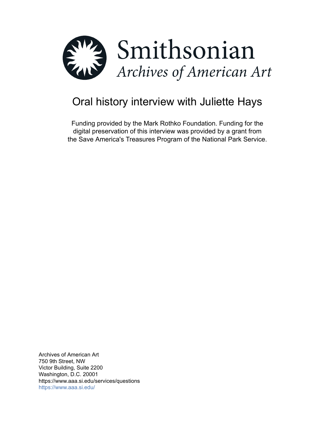

# Oral history interview with Juliette Hays

Funding provided by the Mark Rothko Foundation. Funding for the digital preservation of this interview was provided by a grant from the Save America's Treasures Program of the National Park Service.

Archives of American Art 750 9th Street, NW Victor Building, Suite 2200 Washington, D.C. 20001 https://www.aaa.si.edu/services/questions <https://www.aaa.si.edu/>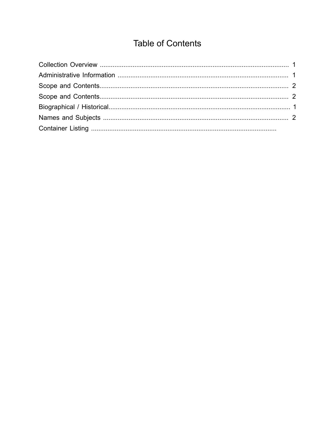## **Table of Contents**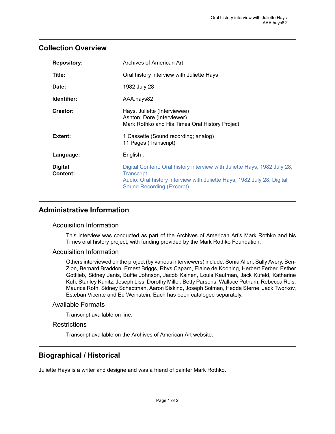## <span id="page-2-0"></span>**Collection Overview**

| <b>Repository:</b>         | Archives of American Art                                                                                                                                                                               |
|----------------------------|--------------------------------------------------------------------------------------------------------------------------------------------------------------------------------------------------------|
| Title:                     | Oral history interview with Juliette Hays                                                                                                                                                              |
| Date:                      | 1982 July 28                                                                                                                                                                                           |
| Identifier:                | AAA.hays82                                                                                                                                                                                             |
| Creator:                   | Hays, Juliette (Interviewee)<br>Ashton, Dore (Interviewer)<br>Mark Rothko and His Times Oral History Project                                                                                           |
| Extent:                    | 1 Cassette (Sound recording; analog)<br>11 Pages (Transcript)                                                                                                                                          |
| Language:                  | English.                                                                                                                                                                                               |
| <b>Digital</b><br>Content: | Digital Content: Oral history interview with Juliette Hays, 1982 July 28,<br><b>Transcript</b><br>Audio: Oral history interview with Juliette Hays, 1982 July 28, Digital<br>Sound Recording (Excerpt) |

## <span id="page-2-1"></span>**Administrative Information**

#### Acquisition Information

This interview was conducted as part of the Archives of American Art's Mark Rothko and his Times oral history project, with funding provided by the Mark Rothko Foundation.

#### Acquisition Information

Others interviewed on the project (by various interviewers) include: Sonia Allen, Sally Avery, Ben-Zion, Bernard Braddon, Ernest Briggs, Rhys Caparn, Elaine de Kooning, Herbert Ferber, Esther Gottlieb, Sidney Janis, Buffie Johnson, Jacob Kainen, Louis Kaufman, Jack Kufeld, Katharine Kuh, Stanley Kunitz, Joseph Liss, Dorothy Miller, Betty Parsons, Wallace Putnam, Rebecca Reis, Maurice Roth, Sidney Schectman, Aaron Siskind, Joseph Solman, Hedda Sterne, Jack Tworkov, Esteban Vicente and Ed Weinstein. Each has been cataloged separately.

#### Available Formats

Transcript available on line.

#### **Restrictions**

Transcript available on the Archives of American Art website.

## <span id="page-2-2"></span>**Biographical / Historical**

Juliette Hays is a writer and designe and was a friend of painter Mark Rothko.